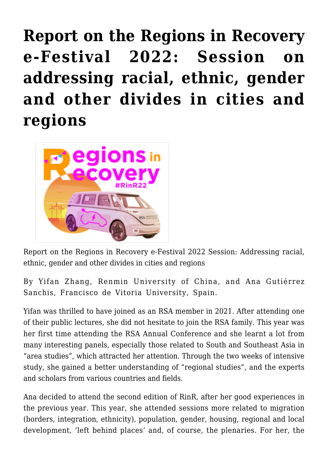**[Report on the Regions in Recovery](https://regions.regionalstudies.org/ezine/article/issue-12-yifan-zhang/) [e-Festival 2022: Session on](https://regions.regionalstudies.org/ezine/article/issue-12-yifan-zhang/) [addressing racial, ethnic, gender](https://regions.regionalstudies.org/ezine/article/issue-12-yifan-zhang/) [and other divides in cities and](https://regions.regionalstudies.org/ezine/article/issue-12-yifan-zhang/) [regions](https://regions.regionalstudies.org/ezine/article/issue-12-yifan-zhang/)**



Report on the Regions in Recovery e-Festival 2022 Session: [Addressing racial,](https://events.rdmobile.com/Sessions/Details/1316884) [ethnic, gender and other divides in cities and regions](https://events.rdmobile.com/Sessions/Details/1316884)

By [Yifan Zhang,](https://www.facebook.com/yifan.zhang.351) Renmin University of China, and [Ana Gutiérrez](https://sites.google.com/site/anagsanchis/) [Sanchis,](https://sites.google.com/site/anagsanchis/) Francisco de Vitoria University, Spain.

Yifan was thrilled to have joined as an RSA member in 2021. After attending one of their public lectures, she did not hesitate to join the RSA family. This year was her first time attending the RSA Annual Conference and she learnt a lot from many interesting panels, especially those related to South and Southeast Asia in "area studies", which attracted her attention. Through the two weeks of intensive study, she gained a better understanding of "regional studies", and the experts and scholars from various countries and fields.

Ana decided to attend the second edition of RinR, after her good experiences in the previous year. This year, she attended sessions more related to migration (borders, integration, ethnicity), population, gender, housing, regional and local development, 'left behind places' and, of course, the plenaries. For her, the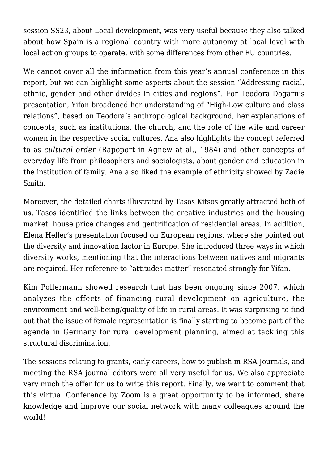session SS23, about Local development, was very useful because they also talked about how Spain is a regional country with more autonomy at local level with local action groups to operate, with some differences from other EU countries.

We cannot cover all the information from this year's annual conference in this report, but we can highlight some aspects about the session "Addressing racial, ethnic, gender and other divides in cities and regions". For Teodora Dogaru's presentation, Yifan broadened her understanding of "High-Low culture and class relations", based on Teodora's anthropological background, her explanations of concepts, such as institutions, the church, and the role of the wife and career women in the respective social cultures. Ana also highlights the concept referred to as *cultural order* (Rapoport in Agnew at al., 1984) and other concepts of everyday life from philosophers and sociologists, about gender and education in the institution of family. Ana also liked the example of ethnicity showed by Zadie Smith.

Moreover, the detailed charts illustrated by Tasos Kitsos greatly attracted both of us. Tasos identified the links between the creative industries and the housing market, house price changes and gentrification of residential areas. In addition, Elena Heller's presentation focused on European regions, where she pointed out the diversity and innovation factor in Europe. She introduced three ways in which diversity works, mentioning that the interactions between natives and migrants are required. Her reference to "attitudes matter" resonated strongly for Yifan.

Kim Pollermann showed research that has been ongoing since 2007, which analyzes the effects of financing rural development on agriculture, the environment and well-being/quality of life in rural areas. It was surprising to find out that the issue of female representation is finally starting to become part of the agenda in Germany for rural development planning, aimed at tackling this structural discrimination.

The sessions relating to grants, early careers, how to publish in RSA Journals, and meeting the RSA journal editors were all very useful for us. We also appreciate very much the offer for us to write this report. Finally, we want to comment that this virtual Conference by Zoom is a great opportunity to be informed, share knowledge and improve our social network with many colleagues around the world!